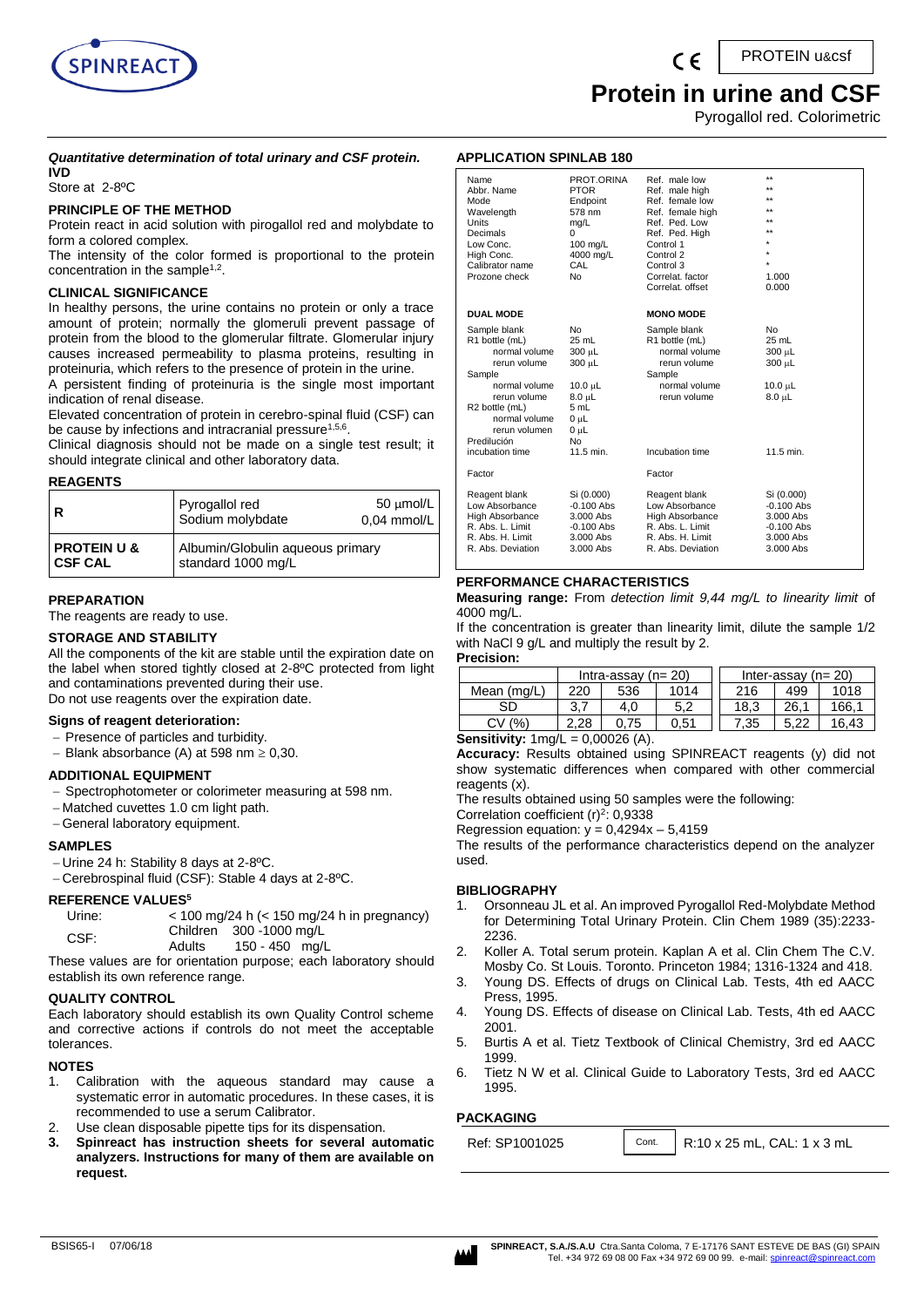

PROTEIN u&csf

## **Protein in urine and CSF**

Pyrogallol red. Colorimetric

#### *Quantitative determination of total urinary and CSF protein.* **IVD**

Store at 2-8ºC

#### **PRINCIPLE OF THE METHOD**

Protein react in acid solution with pirogallol red and molybdate to form a colored complex.

The intensity of the color formed is proportional to the protein concentration in the sample<sup>1,2</sup>.

#### **CLINICAL SIGNIFICANCE**

In healthy persons, the urine contains no protein or only a trace amount of protein; normally the glomeruli prevent passage of protein from the blood to the glomerular filtrate. Glomerular injury causes increased permeability to plasma proteins, resulting in proteinuria, which refers to the presence of protein in the urine.

A persistent finding of proteinuria is the single most important indication of renal disease.

Elevated concentration of protein in cerebro-spinal fluid (CSF) can be cause by infections and intracranial pressure<sup>1,5,6</sup>.

Clinical diagnosis should not be made on a single test result; it should integrate clinical and other laboratory data.

#### **REAGENTS**

| R                                        | Pyrogallol red<br>Sodium molybdate                     | $50 \mu$ mol/L<br>$0.04$ mmol/L |
|------------------------------------------|--------------------------------------------------------|---------------------------------|
| <b>PROTEIN U &amp;</b><br><b>CSF CAL</b> | Albumin/Globulin aqueous primary<br>standard 1000 mg/L |                                 |

#### **PREPARATION**

The reagents are ready to use.

#### **STORAGE AND STABILITY**

All the components of the kit are stable until the expiration date on the label when stored tightly closed at 2-8ºC protected from light and contaminations prevented during their use. Do not use reagents over the expiration date.

#### **Signs of reagent deterioration:**

- Presence of particles and turbidity.
- Blank absorbance (A) at 598 nm  $\geq 0,30$ .

#### **ADDITIONAL EQUIPMENT**

- Spectrophotometer or colorimeter measuring at 598 nm.
- Matched cuvettes 1.0 cm light path.
- General laboratory equipment.

#### **SAMPLES**

- Urine 24 h: Stability 8 days at 2-8ºC.
- Cerebrospinal fluid (CSF): Stable 4 days at 2-8ºC.

#### **REFERENCE VALUES<sup>5</sup>**

| Urine: | $<$ 100 mg/24 h ( $<$ 150 mg/24 h in pregnancy)        |
|--------|--------------------------------------------------------|
| CSF:   | Children 300 -1000 mg/L                                |
|        | $4E \cap AB \cap B$<br>$\lambda$ <sub>di</sub> , $\mu$ |

| . יש | Adults                                        | 150 - 450 mg/L |  |
|------|-----------------------------------------------|----------------|--|
|      | saaa yaluga qee fax qelqatatiga muuqqaay qoob |                |  |

These values are for orientation purpose; each laboratory should establish its own reference range.

#### **QUALITY CONTROL**

Each laboratory should establish its own Quality Control scheme and corrective actions if controls do not meet the acceptable tolerances.

#### **NOTES**

- 1. Calibration with the aqueous standard may cause a systematic error in automatic procedures. In these cases, it is recommended to use a serum Calibrator.
- Use clean disposable pipette tips for its dispensation.
- **3. Spinreact has instruction sheets for several automatic analyzers. Instructions for many of them are available on request.**

#### **APPLICATION SPINLAB 180**

| PROT.ORINA<br><b>PTOR</b><br>Endpoint<br>578 nm<br>mq/L<br>0<br>100 mg/L<br>4000 mg/L<br>CAL<br><b>No</b>                   | Ref. male low<br>Ref. male high<br>Ref. female low<br>Ref. female high<br>Ref. Ped. Low<br>Ref. Ped. High<br>Control 1<br>Control 2<br>Control 3<br>Correlat, factor<br>Correlat, offset | $**$<br>$\star\star$<br>$\star\star$<br>$\star\star$<br>$\star\star$<br>$\star\star$<br>1.000<br>0.000 |
|-----------------------------------------------------------------------------------------------------------------------------|------------------------------------------------------------------------------------------------------------------------------------------------------------------------------------------|--------------------------------------------------------------------------------------------------------|
|                                                                                                                             | <b>MONO MODE</b>                                                                                                                                                                         |                                                                                                        |
| <b>No</b><br>$25$ mL<br>300 µL<br>300 µL<br>10.0 $\mu$ L<br>$8.0 \mu L$<br>5 mL<br>0 µL<br>$0u$ L<br><b>No</b><br>11.5 min. | Sample blank<br>R1 bottle (mL)<br>normal volume<br>rerun volume<br>Sample<br>normal volume<br>rerun volume<br>Incubation time                                                            | No<br>$25$ mL<br>300 µL<br>300 µL<br>$10.0 \mu L$<br>$8.0 \mu L$<br>11.5 min.                          |
|                                                                                                                             | Factor                                                                                                                                                                                   |                                                                                                        |
| Si (0.000)<br>$-0.100$ Abs<br>3.000 Abs<br>$-0.100$ Abs<br>$3.000$ Abs<br>3.000 Abs                                         | Reagent blank<br>Low Absorbance<br><b>High Absorbance</b><br>R. Abs. L. Limit<br>R. Abs. H. Limit<br>R. Abs. Deviation                                                                   | Si (0.000)<br>$-0.100$ Abs<br>$3.000$ Abs<br>$-0.100$ Abs<br>$3.000$ Abs<br>3.000 Abs                  |
|                                                                                                                             |                                                                                                                                                                                          |                                                                                                        |

#### **PERFORMANCE CHARACTERISTICS**

**Measuring range:** From *detection limit 9,44 mg/L to linearity limit* of 4000 mg/L.

If the concentration is greater than linearity limit, dilute the sample 1/2 with NaCl 9 g/L and multiply the result by 2.

**Precision:**

|                                            | Intra-assay $(n=20)$ |      |      |  |      | Inter-assay $(n=20)$ |       |
|--------------------------------------------|----------------------|------|------|--|------|----------------------|-------|
| Mean (mg/L)                                | 220                  | 536  | 1014 |  | 216  | 499                  | 1018  |
| SD                                         | 3.7                  | 4.0  | 5.2  |  | 18.3 | 26.1                 | 166.1 |
| CV(%)                                      | 2.28                 | 0.75 | 0.51 |  | 7.35 | 5.22                 | 16.43 |
| $= 0.00026$ (A)<br>$R$ ancitivity: $4ma/l$ |                      |      |      |  |      |                      |       |

**Sensitivity:** 1mg/L = 0,00026 (A).

**Accuracy:** Results obtained using SPINREACT reagents (y) did not show systematic differences when compared with other commercial reagents (x).

The results obtained using 50 samples were the following:

Correlation coefficient  $(r)^2$ : 0,9338

Regression equation:  $y = 0,4294x - 5,4159$ 

The results of the performance characteristics depend on the analyzer used.

#### **BIBLIOGRAPHY**

- 1. Orsonneau JL et al. An improved Pyrogallol Red-Molybdate Method for Determining Total Urinary Protein. Clin Chem 1989 (35):2233- 2236.
- 2. Koller A. Total serum protein. Kaplan A et al. Clin Chem The C.V. Mosby Co. St Louis. Toronto. Princeton 1984; 1316-1324 and 418.
- 3. Young DS. Effects of drugs on Clinical Lab. Tests, 4th ed AACC Press, 1995.
- 4. Young DS. Effects of disease on Clinical Lab. Tests, 4th ed AACC 2001.
- 5. Burtis A et al. Tietz Textbook of Clinical Chemistry, 3rd ed AACC 1999.
- 6. Tietz N W et al. Clinical Guide to Laboratory Tests, 3rd ed AACC 1995.

Cont.

#### **PACKAGING**

Ref: SP1001025 | Cont. | R:10 x 25 mL, CAL: 1 x 3 mL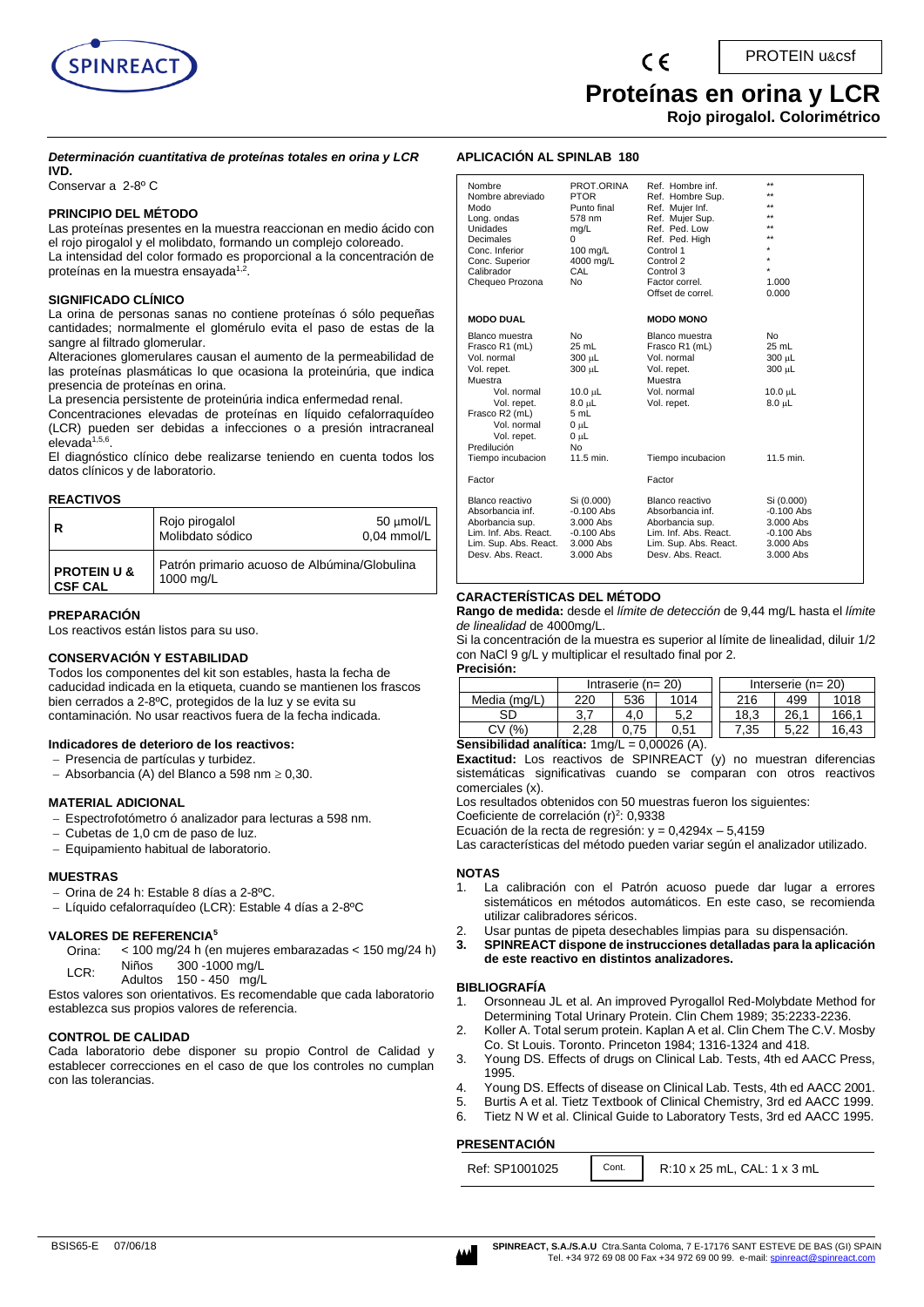

# **Proteínas en orina y LCR**

**Rojo pirogalol. Colorimétrico** 

#### *Determinación cuantitativa de proteínas totales en orina y LCR* **IVD.**

Conservar a 2-8º C

#### **PRINCIPIO DEL MÉTODO**

Las proteínas presentes en la muestra reaccionan en medio ácido con el rojo pirogalol y el molibdato, formando un complejo coloreado. La intensidad del color formado es proporcional a la concentración de proteínas en la muestra ensayada<sup>1,2</sup>.

#### **SIGNIFICADO CLÍNICO**

La orina de personas sanas no contiene proteínas ó sólo pequeñas cantidades; normalmente el glomérulo evita el paso de estas de la sangre al filtrado glomerular.

Alteraciones glomerulares causan el aumento de la permeabilidad de las proteínas plasmáticas lo que ocasiona la proteinúria, que indica presencia de proteínas en orina.

La presencia persistente de proteinúria indica enfermedad renal.

Concentraciones elevadas de proteínas en líquido cefalorraquídeo (LCR) pueden ser debidas a infecciones o a presión intracraneal elevada<sup>1,5,6</sup>.

El diagnóstico clínico debe realizarse teniendo en cuenta todos los datos clínicos y de laboratorio.

#### **REACTIVOS**

| R                                        | Rojo pirogalol<br>Molibdato sódico                        | 50 µmol/L<br>$0.04$ mmol/L |
|------------------------------------------|-----------------------------------------------------------|----------------------------|
| <b>PROTEIN U &amp;</b><br><b>CSF CAL</b> | Patrón primario acuoso de Albúmina/Globulina<br>1000 mg/L |                            |

#### **PREPARACIÓN**

Los reactivos están listos para su uso.

#### **CONSERVACIÓN Y ESTABILIDAD**

Todos los componentes del kit son estables, hasta la fecha de caducidad indicada en la etiqueta, cuando se mantienen los frascos bien cerrados a 2-8ºC, protegidos de la luz y se evita su contaminación. No usar reactivos fuera de la fecha indicada.

#### **Indicadores de deterioro de los reactivos:**

- − Presencia de partículas y turbidez.
- − Absorbancia (A) del Blanco a 598 nm 0,30.

#### **MATERIAL ADICIONAL**

- Espectrofotómetro ó analizador para lecturas a 598 nm.
- − Cubetas de 1,0 cm de paso de luz.
- − Equipamiento habitual de laboratorio.

#### **MUESTRAS**

- − Orina de 24 h: Estable 8 días a 2-8ºC.
- − Líquido cefalorraquídeo (LCR): Estable 4 días a 2-8ºC

#### **VALORES DE REFERENCIA<sup>5</sup>**

- Orina: < 100 mg/24 h (en mujeres embarazadas < 150 mg/24 h)
- LCR: Niños 300 -1000 mg/L Adultos 150 450 mg/L

Estos valores son orientativos. Es recomendable que cada laboratorio establezca sus propios valores de referencia.

#### **CONTROL DE CALIDAD**

Cada laboratorio debe disponer su propio Control de Calidad y establecer correcciones en el caso de que los controles no cumplan con las tolerancias.

#### **APLICACIÓN AL SPINLAB 180**

| Nombre<br>Nombre abreviado<br>Modo<br>Long. ondas<br><b>Unidades</b><br>Decimales<br>Conc. Inferior<br>Conc. Superior<br>Calibrador<br>Chequeo Prozona                                     | PROT.ORINA<br><b>PTOR</b><br>Punto final<br>578 nm<br>mg/L<br>0<br>100 mg/L<br>4000 mg/L<br>CAL<br><b>No</b>               | Ref. Hombre inf.<br>Ref. Hombre Sup.<br>Ref. Mujer Inf.<br>Ref. Mujer Sup.<br>Ref. Ped. Low<br>Ref. Ped. High<br>Control 1<br>Control 2<br>Control 3<br>Factor correl.<br>Offset de correl. | $\star\star$<br>÷٠<br>$\star\star$<br>$\star\star$<br>$\star\star$<br>$\star\star$<br>÷<br>1.000<br>0.000 |
|--------------------------------------------------------------------------------------------------------------------------------------------------------------------------------------------|----------------------------------------------------------------------------------------------------------------------------|---------------------------------------------------------------------------------------------------------------------------------------------------------------------------------------------|-----------------------------------------------------------------------------------------------------------|
| <b>MODO DUAL</b>                                                                                                                                                                           |                                                                                                                            | <b>MODO MONO</b>                                                                                                                                                                            |                                                                                                           |
| Blanco muestra<br>Frasco R1 (mL)<br>Vol. normal<br>Vol. repet.<br>Muestra<br>Vol normal<br>Vol. repet.<br>Frasco R2 (mL)<br>Vol. normal<br>Vol. repet.<br>Predilución<br>Tiempo incubacion | No<br>$25$ mL<br>300 µL<br>300 µL<br>$10.0 \mu L$<br>$8.0 \text{ uL}$<br>5 mL<br>$0 \mu L$<br>$0 \mu L$<br>No<br>11.5 min. | Blanco muestra<br>Frasco R1 (mL)<br>Vol. normal<br>Vol. repet.<br>Muestra<br>Vol. normal<br>Vol. repet.<br>Tiempo incubacion                                                                | N <sub>0</sub><br>$25$ mL<br>300 µL<br>300 µL<br>$10.0 \mu L$<br>$8.0 \mu L$<br>11.5 min.                 |
|                                                                                                                                                                                            |                                                                                                                            |                                                                                                                                                                                             |                                                                                                           |
| Factor                                                                                                                                                                                     |                                                                                                                            | Factor                                                                                                                                                                                      |                                                                                                           |
| Blanco reactivo<br>Absorbancia inf.<br>Aborbancia sup.<br>Lim. Inf. Abs. React.<br>Lim. Sup. Abs. React.<br>Desy, Abs. React.                                                              | Si (0.000)<br>$-0.100$ Abs<br>$3.000$ Abs<br>$-0.100$ Abs<br>$3.000$ Abs<br>$3.000$ Abs                                    | Blanco reactivo<br>Absorbancia inf.<br>Aborbancia sup.<br>Lim. Inf. Abs. React.<br>Lim. Sup. Abs. React.<br>Desy, Abs. React.                                                               | Si (0.000)<br>$-0.100$ Abs<br>$3.000$ Abs<br>$-0.100$ Abs<br>$3.000$ Abs<br>$3.000$ Abs                   |

#### **CARACTERÍSTICAS DEL MÉTODO**

**Rango de medida:** desde el *límite de detección* de 9,44 mg/L hasta el *límite de linealidad* de 4000mg/L.

Si la concentración de la muestra es superior al límite de linealidad, diluir 1/2 con NaCl 9 g/L y multiplicar el resultado final por 2.

**Precisión:**

|              | Intraserie $(n=20)$ |      |      |      | Interserie $(n=20)$ |       |
|--------------|---------------------|------|------|------|---------------------|-------|
| Media (mg/L) | 220                 | 536  | 1014 | 216  | 499                 | 1018  |
| SD           | 3.7                 | 4.0  | 5.2  | 18.3 | 26.1                | 166.1 |
| (%<br>CV     | 2.28                | 0.75 | 0.51 | 7.35 | 5.22                | 16.43 |

#### **Sensibilidad analítica:** 1mg/L = 0,00026 (A).

**Exactitud:** Los reactivos de SPINREACT (y) no muestran diferencias sistemáticas significativas cuando se comparan con otros reactivos comerciales (x).

Los resultados obtenidos con 50 muestras fueron los siguientes:

Coeficiente de correlación  $(r)^2$ : 0,9338

Ecuación de la recta de regresión:  $y = 0,4294x - 5,4159$ 

Las características del método pueden variar según el analizador utilizado.

#### **NOTAS**

- 1. La calibración con el Patrón acuoso puede dar lugar a errores sistemáticos en métodos automáticos. En este caso, se recomienda utilizar calibradores séricos.
- 2. Usar puntas de pipeta desechables limpias para su dispensación.
- **3. SPINREACT dispone de instrucciones detalladas para la aplicación de este reactivo en distintos analizadores.**

#### **BIBLIOGRAFÍA**

- 1. Orsonneau JL et al. An improved Pyrogallol Red-Molybdate Method for Determining Total Urinary Protein. Clin Chem 1989; 35:2233-2236.
- 2. Koller A. Total serum protein. Kaplan A et al. Clin Chem The C.V. Mosby Co. St Louis. Toronto. Princeton 1984; 1316-1324 and 418.
- 3. Young DS. Effects of drugs on Clinical Lab. Tests, 4th ed AACC Press, 1995.
- 4. Young DS. Effects of disease on Clinical Lab. Tests, 4th ed AACC 2001.
- 5. Burtis A et al. Tietz Textbook of Clinical Chemistry, 3rd ed AACC 1999.
- 6. Tietz N W et al. Clinical Guide to Laboratory Tests, 3rd ed AACC 1995.
- **PRESENTACIÓN**

| Ref: SP1001025<br>Cont. | R:10 x 25 mL, CAL: 1 x 3 mL |
|-------------------------|-----------------------------|
|-------------------------|-----------------------------|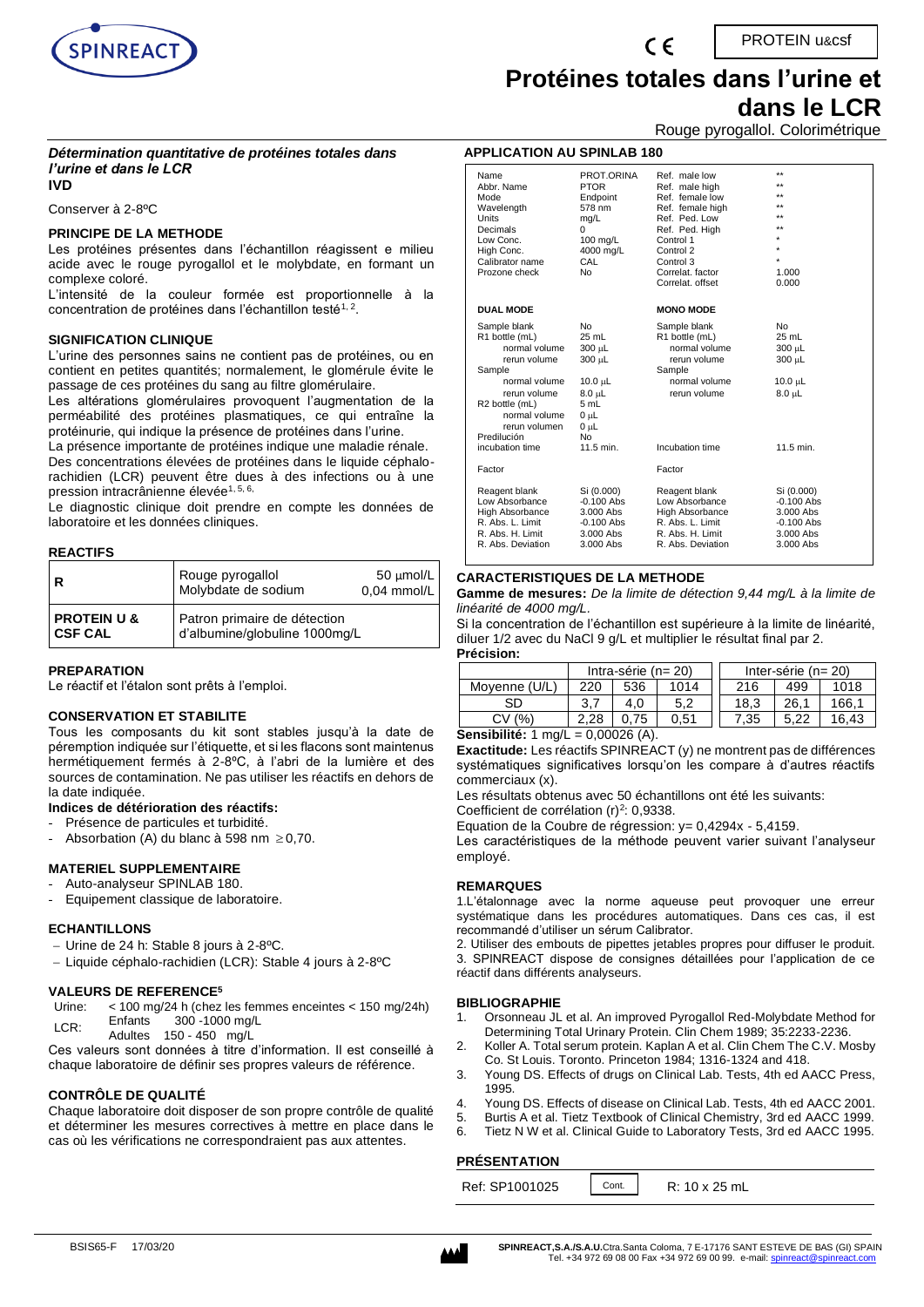

PROTEIN u&csf

# **Protéines totales dans l'urine et**

**dans le LCR**

Rouge pyrogallol. Colorimétrique

#### *Détermination quantitative de protéines totales dans l'urine et dans le LCR* **IVD**

Conserver à 2-8ºC

#### **PRINCIPE DE LA METHODE**

Les protéines présentes dans l'échantillon réagissent e milieu acide avec le rouge pyrogallol et le molybdate, en formant un complexe coloré.

L'intensité de la couleur formée est proportionnelle à la concentration de protéines dans l'échantillon testé $^{\rm 1, \, 2}.$ 

#### **SIGNIFICATION CLINIQUE**

L'urine des personnes sains ne contient pas de protéines, ou en contient en petites quantités; normalement, le glomérule évite le passage de ces protéines du sang au filtre glomérulaire.

Les altérations glomérulaires provoquent l'augmentation de la perméabilité des protéines plasmatiques, ce qui entraîne la protéinurie, qui indique la présence de protéines dans l'urine.

La présence importante de protéines indique une maladie rénale. Des concentrations élevées de protéines dans le liquide céphalorachidien (LCR) peuvent être dues à des infections ou à une pression intracrânienne élevée<sup>1, 5, 6,</sup>

Le diagnostic clinique doit prendre en compte les données de laboratoire et les données cliniques.

#### **REACTIFS**

| l R                                      | Rouge pyrogallol<br>Molybdate de sodium                       | $50 \mu$ mol/L<br>$0,04$ mmol/L |
|------------------------------------------|---------------------------------------------------------------|---------------------------------|
| <b>PROTEIN U &amp;</b><br><b>CSF CAL</b> | Patron primaire de détection<br>d'albumine/globuline 1000mg/L |                                 |

#### **PREPARATION**

Le réactif et l'étalon sont prêts à l'emploi.

#### **CONSERVATION ET STABILITE**

Tous les composants du kit sont stables jusqu'à la date de péremption indiquée sur l'étiquette, et si les flacons sont maintenus hermétiquement fermés à 2-8ºC, à l'abri de la lumière et des sources de contamination. Ne pas utiliser les réactifs en dehors de la date indiquée.

#### **Indices de détérioration des réactifs:**

- Présence de particules et turbidité.
- Absorbation (A) du blanc à 598 nm  $\geq$  0,70.

#### **MATERIEL SUPPLEMENTAIRE**

- Auto-analyseur SPINLAB 180.
- Equipement classique de laboratoire.

#### **ECHANTILLONS**

- − Urine de 24 h: Stable 8 jours à 2-8ºC.
- − Liquide céphalo-rachidien (LCR): Stable 4 jours à 2-8ºC

#### **VALEURS DE REFERENCE<sup>5</sup>**

- Urine: < 100 mg/24 h (chez les femmes enceintes < 150 mg/24h) LCR: Enfants 300 -1000 mg/L
- Adultes 150 450 mg/L

Ces valeurs sont données à titre d'information. Il est conseillé à chaque laboratoire de définir ses propres valeurs de référence.

#### **CONTRÔLE DE QUALITÉ**

Chaque laboratoire doit disposer de son propre contrôle de qualité et déterminer les mesures correctives à mettre en place dans le cas où les vérifications ne correspondraient pas aux attentes.

| Name              | PROT.ORINA       | Ref. male low     | $***$        |
|-------------------|------------------|-------------------|--------------|
| Abbr. Name        | <b>PTOR</b>      | Ref. male high    | $***$        |
| Mode              | Endpoint         | Ref. female low   | $\star\star$ |
| Wavelength        | 578 nm           | Ref. female high  | $\star\star$ |
| <b>Units</b>      | mg/L             | Ref. Ped. Low     | $\star\star$ |
| Decimals          | $\Omega$         | Ref. Ped. High    | $\star\star$ |
| Low Conc.         | 100 mg/L         | Control 1         |              |
| High Conc.        | 4000 mg/L        | Control 2         | $\star$      |
| Calibrator name   | CAL              | Control 3         | $\star$      |
| Prozone check     | N <sub>0</sub>   | Correlat, factor  | 1.000        |
|                   |                  | Correlat, offset  | 0.000        |
| <b>DUAL MODE</b>  |                  | <b>MONO MODE</b>  |              |
| Sample blank      | N <sub>0</sub>   | Sample blank      | <b>No</b>    |
| R1 bottle (mL)    | 25 mL            | R1 bottle (mL)    | 25 mL        |
| normal volume     | 300 µL           | normal volume     | 300 µL       |
| rerun volume      | 300 µL           | rerun volume      | 300 µL       |
| Sample            |                  | Sample            |              |
| normal volume     | $10.0 \mu L$     | normal volume     | $10.0 \mu L$ |
| rerun volume      | $8.0$ uL         | rerun volume      | $8.0 \mu L$  |
| R2 bottle (mL)    | 5 mL             |                   |              |
| normal volume     | 0 <sub>µ</sub> L |                   |              |
| rerun volumen     | $0 \mu L$        |                   |              |
| Predilución       | N <sub>0</sub>   |                   |              |
| incubation time   | 11.5 min.        | Incubation time   | 11.5 min.    |
| Factor            |                  | Factor            |              |
| Reagent blank     | Si (0.000)       | Reagent blank     | Si (0.000)   |
| Low Absorbance    | $-0.100$ Abs     | Low Absorbance    | $-0.100$ Abs |
| High Absorbance   | 3.000 Abs        | High Absorbance   | 3.000 Abs    |
| R. Abs. L. Limit  | $-0.100$ Abs     | R. Abs. L. Limit  | $-0.100$ Abs |
| R. Abs. H. Limit  | 3.000 Abs        | R. Abs. H. Limit  | 3.000 Abs    |
| R. Abs. Deviation | 3.000 Abs        | R. Abs. Deviation | $3.000$ Abs  |

#### **CARACTERISTIQUES DE LA METHODE**

**Gamme de mesures:** *De la limite de détection 9,44 mg/L à la limite de linéarité de 4000 mg/L.*

Si la concentration de l'échantillon est supérieure à la limite de linéarité, diluer 1/2 avec du NaCl 9 g/L et multiplier le résultat final par 2. **Précision:**

| Intra-série (n= 20) |          |      | Inter-série ( $n = 20$ ) |      |       |
|---------------------|----------|------|--------------------------|------|-------|
| 220                 | 536      | 1014 | 216                      | 499  | 1018  |
| 3.                  | 4.0      | 5.2  | 18.3                     | 26.1 | 166.1 |
| .28                 | .75      | 0.51 | 7.35                     | າາ   | 16.43 |
|                     | 0.000001 |      |                          |      |       |

#### **Sensibilité:** 1 mg/L = 0,00026 (A).

**Exactitude:** Les réactifs SPINREACT (y) ne montrent pas de différences systématiques significatives lorsqu'on les compare à d'autres réactifs commerciaux (x).

Les résultats obtenus avec 50 échantillons ont été les suivants:

Coefficient de corrélation  $(r)^2$ : 0,9338.

Equation de la Coubre de régression: y= 0,4294x - 5,4159.

Les caractéristiques de la méthode peuvent varier suivant l'analyseur employé.

#### **REMARQUES**

1.L'étalonnage avec la norme aqueuse peut provoquer une erreur systématique dans les procédures automatiques. Dans ces cas, il est recommandé d'utiliser un sérum Calibrator.

2. Utiliser des embouts de pipettes jetables propres pour diffuser le produit. 3. SPINREACT dispose de consignes détaillées pour l'application de ce réactif dans différents analyseurs.

#### **BIBLIOGRAPHIE**

- 1. Orsonneau JL et al. An improved Pyrogallol Red-Molybdate Method for Determining Total Urinary Protein. Clin Chem 1989; 35:2233-2236.
- 2. Koller A. Total serum protein. Kaplan A et al. Clin Chem The C.V. Mosby Co. St Louis. Toronto. Princeton 1984; 1316-1324 and 418.
- 3. Young DS. Effects of drugs on Clinical Lab. Tests, 4th ed AACC Press, 1995.
- 4. Young DS. Effects of disease on Clinical Lab. Tests, 4th ed AACC 2001.
- 5. Burtis A et al. Tietz Textbook of Clinical Chemistry, 3rd ed AACC 1999.
- 6. Tietz N W et al. Clinical Guide to Laboratory Tests, 3rd ed AACC 1995.

Cont.

#### **PRÉSENTATION**

Ref: SP1001025 | Cont. | R: 10 x 25 mL